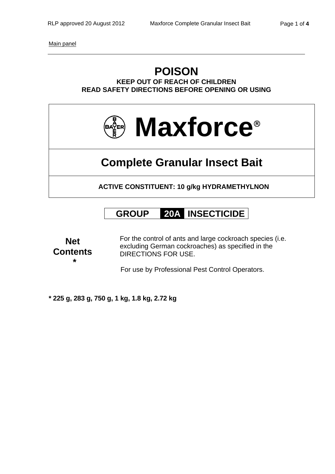Main panel

## **POISON KEEP OUT OF REACH OF CHILDREN READ SAFETY DIRECTIONS BEFORE OPENING OR USING**



# **Complete Granular Insect Bait**

**ACTIVE CONSTITUENT: 10 g/kg HYDRAMETHYLNON** 

## **GROUP 20A INSECTICIDE**

**Net Contents \*** 

For the control of ants and large cockroach species (i.e. excluding German cockroaches) as specified in the DIRECTIONS FOR USE.

For use by Professional Pest Control Operators.

**\* 225 g, 283 g, 750 g, 1 kg, 1.8 kg, 2.72 kg**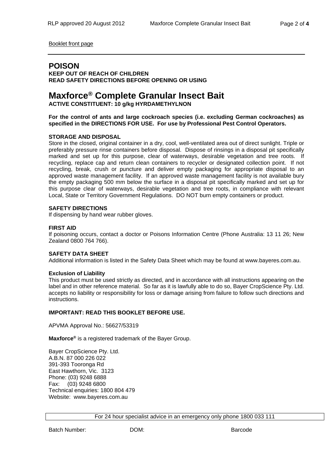Booklet front page

### **POISON**

**KEEP OUT OF REACH OF CHILDREN READ SAFETY DIRECTIONS BEFORE OPENING OR USING** 

### **Maxforce® Complete Granular Insect Bait**

**ACTIVE CONSTITUENT: 10 g/kg HYRDAMETHYLNON** 

**For the control of ants and large cockroach species (i.e. excluding German cockroaches) as specified in the DIRECTIONS FOR USE. For use by Professional Pest Control Operators.** 

#### **STORAGE AND DISPOSAL**

Store in the closed, original container in a dry, cool, well-ventilated area out of direct sunlight. Triple or preferably pressure rinse containers before disposal. Dispose of rinsings in a disposal pit specifically marked and set up for this purpose, clear of waterways, desirable vegetation and tree roots. If recycling, replace cap and return clean containers to recycler or designated collection point. If not recycling, break, crush or puncture and deliver empty packaging for appropriate disposal to an approved waste management facility. If an approved waste management facility is not available bury the empty packaging 500 mm below the surface in a disposal pit specifically marked and set up for this purpose clear of waterways, desirable vegetation and tree roots, in compliance with relevant Local, State or Territory Government Regulations. DO NOT burn empty containers or product.

#### **SAFETY DIRECTIONS**

If dispensing by hand wear rubber gloves.

#### **FIRST AID**

If poisoning occurs, contact a doctor or Poisons Information Centre (Phone Australia: 13 11 26; New Zealand 0800 764 766).

#### **SAFETY DATA SHEET**

Additional information is listed in the Safety Data Sheet which may be found at www.bayeres.com.au.

#### **Exclusion of Liability**

This product must be used strictly as directed, and in accordance with all instructions appearing on the label and in other reference material. So far as it is lawfully able to do so, Bayer CropScience Pty. Ltd. accepts no liability or responsibility for loss or damage arising from failure to follow such directions and instructions.

#### **IMPORTANT: READ THIS BOOKLET BEFORE USE.**

APVMA Approval No.: 56627/53319

**Maxforce®** is a registered trademark of the Bayer Group.

Bayer CropScience Pty. Ltd. A.B.N. 87 000 226 022 391-393 Tooronga Rd East Hawthorn, Vic. 3123 Phone: (03) 9248 6888 Fax: (03) 9248 6800 Technical enquiries: 1800 804 479 Website: www.bayeres.com.au

For 24 hour specialist advice in an emergency only phone 1800 033 111

Batch Number: DOM: Barcode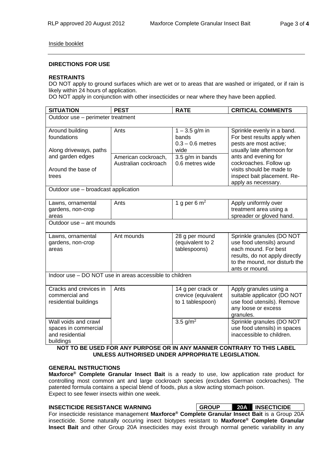#### Inside booklet

#### **DIRECTIONS FOR USE**

#### **RESTRAINTS**

DO NOT apply to ground surfaces which are wet or to areas that are washed or irrigated, or if rain is likely within 24 hours of application.

DO NOT apply in conjunction with other insecticides or near where they have been applied.

| <b>SITUATION</b>                                                             | <b>PEST</b>                                 | <b>RATE</b>                                                  | <b>CRITICAL COMMENTS</b>                                                                                                                                                                                                                              |  |  |  |
|------------------------------------------------------------------------------|---------------------------------------------|--------------------------------------------------------------|-------------------------------------------------------------------------------------------------------------------------------------------------------------------------------------------------------------------------------------------------------|--|--|--|
| Outdoor use - perimeter treatment                                            |                                             |                                                              |                                                                                                                                                                                                                                                       |  |  |  |
| Around building<br>foundations<br>Along driveways, paths                     | Ants                                        | $1 - 3.5$ g/m in<br>bands<br>$0.3 - 0.6$ metres<br>wide      | Sprinkle evenly in a band.<br>For best results apply when<br>pests are most active;<br>usually late afternoon for<br>ants and evening for<br>cockroaches. Follow up<br>visits should be made to<br>inspect bait placement. Re-<br>apply as necessary. |  |  |  |
| and garden edges<br>Around the base of<br>trees                              | American cockroach,<br>Australian cockroach | 3.5 g/m in bands<br>0.6 metres wide                          |                                                                                                                                                                                                                                                       |  |  |  |
| Outdoor use - broadcast application                                          |                                             |                                                              |                                                                                                                                                                                                                                                       |  |  |  |
| Lawns, ornamental<br>gardens, non-crop<br>areas                              | Ants                                        | 1 g per 6 $m2$                                               | Apply uniformly over<br>treatment area using a<br>spreader or gloved hand.                                                                                                                                                                            |  |  |  |
| Outdoor use - ant mounds                                                     |                                             |                                                              |                                                                                                                                                                                                                                                       |  |  |  |
| Lawns, ornamental<br>gardens, non-crop<br>areas                              | Ant mounds                                  | 28 g per mound<br>(equivalent to 2<br>tablespoons)           | Sprinkle granules (DO NOT<br>use food utensils) around<br>each mound. For best<br>results, do not apply directly<br>to the mound, nor disturb the<br>ants or mound.                                                                                   |  |  |  |
| Indoor use - DO NOT use in areas accessible to children                      |                                             |                                                              |                                                                                                                                                                                                                                                       |  |  |  |
| Cracks and crevices in<br>commercial and<br>residential buildings            | Ants                                        | 14 g per crack or<br>crevice (equivalent<br>to 1 tablespoon) | Apply granules using a<br>suitable applicator (DO NOT<br>use food utensils). Remove<br>any loose or excess<br>granules.                                                                                                                               |  |  |  |
| Wall voids and crawl<br>spaces in commercial<br>and residential<br>buildings |                                             | 3.5 $g/m^2$                                                  | Sprinkle granules (DO NOT<br>use food utensils) in spaces<br>inaccessible to children.                                                                                                                                                                |  |  |  |

#### **NOT TO BE USED FOR ANY PURPOSE OR IN ANY MANNER CONTRARY TO THIS LABEL UNLESS AUTHORISED UNDER APPROPRIATE LEGISLATION.**

#### **GENERAL INSTRUCTIONS**

**Maxforce® Complete Granular Insect Bait** is a ready to use, low application rate product for controlling most common ant and large cockroach species (excludes German cockroaches). The patented formula contains a special blend of foods, plus a slow acting stomach poison. Expect to see fewer insects within one week.

| <b>INSECTICIDE RESISTANCE WARNING</b>                                                                     | <b>GROUP</b> | <b>20A INSECTICIDE</b> |
|-----------------------------------------------------------------------------------------------------------|--------------|------------------------|
| For insecticide resistance management Maxforce <sup>®</sup> Complete Granular Insect Bait is a Group 20A  |              |                        |
| insecticide. Some naturally occuring insect biotypes resistant to Maxforce <sup>®</sup> Complete Granular |              |                        |
| <b>Insect Bait</b> and other Group 20A insecticides may exist through normal genetic variability in any   |              |                        |